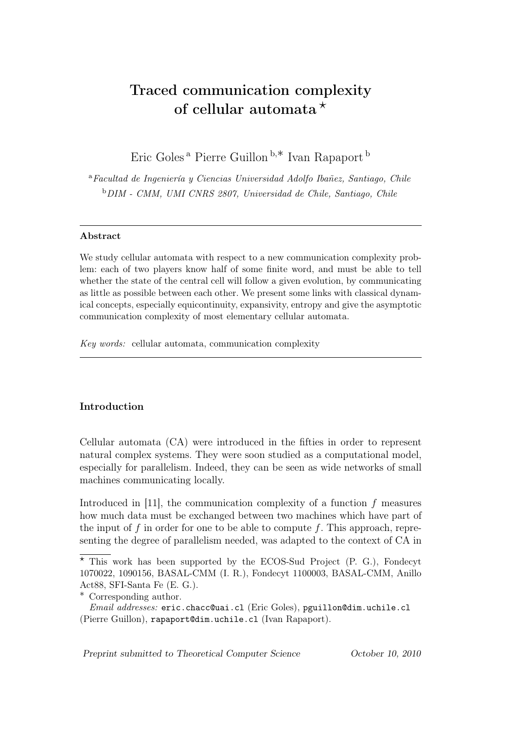# Traced communication complexity of cellular automata  $\star$

Eric Goles <sup>a</sup> Pierre Guillon <sup>b</sup>,∗ Ivan Rapaport <sup>b</sup>

<sup>a</sup>*Facultad de Ingeniería y Ciencias Universidad Adolfo Ibañez, Santiago, Chile* <sup>b</sup>*DIM - CMM, UMI CNRS 2807, Universidad de Chile, Santiago, Chile*

## Abstract

We study cellular automata with respect to a new communication complexity problem: each of two players know half of some finite word, and must be able to tell whether the state of the central cell will follow a given evolution, by communicating as little as possible between each other. We present some links with classical dynamical concepts, especially equicontinuity, expansivity, entropy and give the asymptotic communication complexity of most elementary cellular automata.

*Key words:* cellular automata, communication complexity

## Introduction

Cellular automata (CA) were introduced in the fifties in order to represent natural complex systems. They were soon studied as a computational model, especially for parallelism. Indeed, they can be seen as wide networks of small machines communicating locally.

Introduced in [11], the communication complexity of a function  $f$  measures how much data must be exchanged between two machines which have part of the input of f in order for one to be able to compute f. This approach, representing the degree of parallelism needed, was adapted to the context of CA in

*Preprint submitted to Theoretical Computer Science October 10, 2010*

 $*$  This work has been supported by the ECOS-Sud Project (P. G.), Fondecyt 1070022, 1090156, BASAL-CMM (I. R.), Fondecyt 1100003, BASAL-CMM, Anillo Act88, SFI-Santa Fe (E. G.).

<sup>∗</sup> Corresponding author.

*Email addresses:* eric.chacc@uai.cl (Eric Goles), pguillon@dim.uchile.cl (Pierre Guillon), rapaport@dim.uchile.cl (Ivan Rapaport).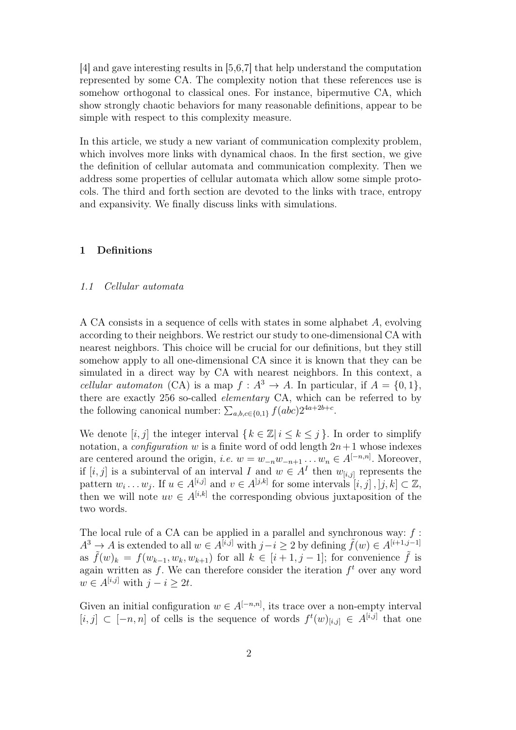[4] and gave interesting results in [5,6,7] that help understand the computation represented by some CA. The complexity notion that these references use is somehow orthogonal to classical ones. For instance, bipermutive CA, which show strongly chaotic behaviors for many reasonable definitions, appear to be simple with respect to this complexity measure.

In this article, we study a new variant of communication complexity problem, which involves more links with dynamical chaos. In the first section, we give the definition of cellular automata and communication complexity. Then we address some properties of cellular automata which allow some simple protocols. The third and forth section are devoted to the links with trace, entropy and expansivity. We finally discuss links with simulations.

## 1 Definitions

#### *1.1 Cellular automata*

A CA consists in a sequence of cells with states in some alphabet A, evolving according to their neighbors. We restrict our study to one-dimensional CA with nearest neighbors. This choice will be crucial for our definitions, but they still somehow apply to all one-dimensional CA since it is known that they can be simulated in a direct way by CA with nearest neighbors. In this context, a *cellular automaton* (CA) is a map  $f : A^3 \to A$ . In particular, if  $A = \{0, 1\}$ , there are exactly 256 so-called *elementary* CA, which can be referred to by the following canonical number:  $\sum_{a,b,c \in \{0,1\}} f(abc)2^{4a+2b+c}$ .

We denote  $[i, j]$  the integer interval  $\{k \in \mathbb{Z} \mid i \leq k \leq j\}$ . In order to simplify notation, a *configuration* w is a finite word of odd length  $2n+1$  whose indexes are centered around the origin, *i.e.*  $w = w_{-n}w_{-n+1} \dots w_n \in A^{[-n,n]}$ . Moreover, if  $[i, j]$  is a subinterval of an interval I and  $w \in A<sup>I</sup>$  then  $w_{[i,j]}$  represents the pattern  $w_i \dots w_j$ . If  $u \in A^{[i,j]}$  and  $v \in A^{[j,k]}$  for some intervals  $[i,j], [j,k] \subset \mathbb{Z}$ , then we will note  $uv \in A^{[i,k]}$  the corresponding obvious juxtaposition of the two words.

The local rule of a CA can be applied in a parallel and synchronous way:  $f$ :  $A^3 \to A$  is extended to all  $w \in A^{[i,j]}$  with  $j-i > 2$  by defining  $\tilde{f}(w) \in A^{[i+1,j-1]}$ as  $\tilde{f}(w)_k = f(w_{k-1}, w_k, w_{k+1})$  for all  $k \in [i+1, j-1]$ ; for convenience  $\tilde{f}$  is again written as  $f$ . We can therefore consider the iteration  $f^t$  over any word  $w \in A^{[i,j]}$  with  $j - i \geq 2t$ .

Given an initial configuration  $w \in A^{[-n,n]}$ , its trace over a non-empty interval [i, j] ⊂ [-n, n] of cells is the sequence of words  $f^t(w)_{[i,j]}$  ∈  $A^{[i,j]}$  that one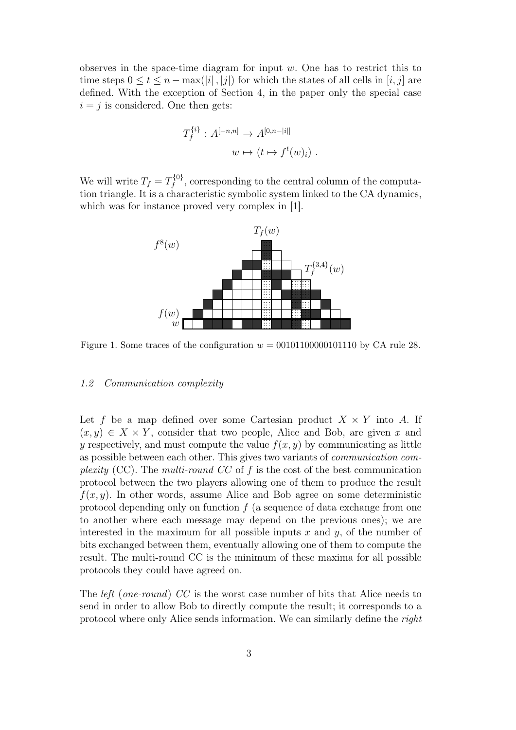observes in the space-time diagram for input w. One has to restrict this to time steps  $0 \le t \le n - \max(|i|, |j|)$  for which the states of all cells in  $[i, j]$  are defined. With the exception of Section 4, in the paper only the special case  $i = j$  is considered. One then gets:

$$
T_f^{\{i\}}: A^{[-n,n]} \to A^{[0,n-|i|]}
$$

$$
w \mapsto (t \mapsto f^t(w)_i)
$$

We will write  $T_f = T_f^{\{0\}}$ , corresponding to the central column of the computation triangle. It is a characteristic symbolic system linked to the CA dynamics, which was for instance proved very complex in [1].



Figure 1. Some traces of the configuration  $w = 00101100000101110$  by CA rule 28.

#### *1.2 Communication complexity*

Let f be a map defined over some Cartesian product  $X \times Y$  into A. If  $(x, y) \in X \times Y$ , consider that two people, Alice and Bob, are given x and y respectively, and must compute the value  $f(x, y)$  by communicating as little as possible between each other. This gives two variants of *communication complexity* (CC). The *multi-round CC* of f is the cost of the best communication protocol between the two players allowing one of them to produce the result  $f(x, y)$ . In other words, assume Alice and Bob agree on some deterministic protocol depending only on function  $f$  (a sequence of data exchange from one to another where each message may depend on the previous ones); we are interested in the maximum for all possible inputs x and y, of the number of bits exchanged between them, eventually allowing one of them to compute the result. The multi-round CC is the minimum of these maxima for all possible protocols they could have agreed on.

The *left* (*one-round*) *CC* is the worst case number of bits that Alice needs to send in order to allow Bob to directly compute the result; it corresponds to a protocol where only Alice sends information. We can similarly define the *right*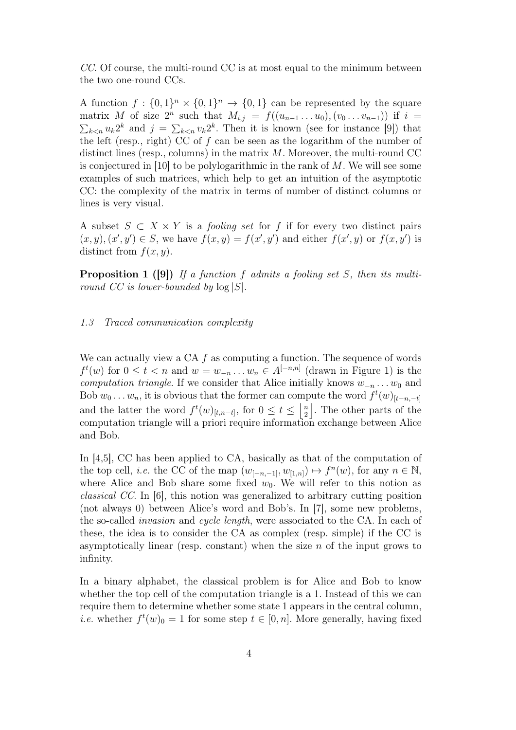*CC*. Of course, the multi-round CC is at most equal to the minimum between the two one-round CCs.

A function  $f: \{0,1\}^n \times \{0,1\}^n \rightarrow \{0,1\}$  can be represented by the square matrix M of size  $2^n$  such that  $M_{i,j} = f((u_{n-1} \ldots u_0), (v_0 \ldots v_{n-1}))$  if  $i =$  $k \leq n$  u<sub>k</sub>2<sup>k</sup> and  $j = \sum_{k \leq n} v_k 2^k$ . Then it is known (see for instance [9]) that the left (resp., right) CC of  $f$  can be seen as the logarithm of the number of distinct lines (resp., columns) in the matrix M. Moreover, the multi-round CC is conjectured in [10] to be polylogarithmic in the rank of M. We will see some examples of such matrices, which help to get an intuition of the asymptotic CC: the complexity of the matrix in terms of number of distinct columns or lines is very visual.

A subset  $S \subset X \times Y$  is a *fooling set* for f if for every two distinct pairs  $(x, y), (x', y') \in S$ , we have  $f(x, y) = f(x', y')$  and either  $f(x', y)$  or  $f(x, y')$  is distinct from  $f(x, y)$ .

Proposition 1 ([9]) *If a function* f *admits a fooling set* S*, then its multiround CC is lower-bounded by* log |S|*.*

#### *1.3 Traced communication complexity*

We can actually view a CA  $f$  as computing a function. The sequence of words  $f^t(w)$  for  $0 \leq t < n$  and  $w = w_{-n} \dots w_n \in A^{[-n,n]}$  (drawn in Figure 1) is the *computation triangle*. If we consider that Alice initially knows  $w_{-n} \ldots w_0$  and Bob  $w_0 \ldots w_n$ , it is obvious that the former can compute the word  $f^t(w)_{[t-n,-t]}$ and the latter the word  $f^t(w)_{[t,n-t]}$ , for  $0 \le t \le \left\lfloor \frac{n}{2} \right\rfloor$ 2 |. The other parts of the computation triangle will a priori require information exchange between Alice and Bob.

In [4,5], CC has been applied to CA, basically as that of the computation of the top cell, *i.e.* the CC of the map  $(w_{[-n,-1]}, w_{[1,n]}) \mapsto f^{n}(w)$ , for any  $n \in \mathbb{N}$ , where Alice and Bob share some fixed  $w_0$ . We will refer to this notion as *classical CC*. In [6], this notion was generalized to arbitrary cutting position (not always 0) between Alice's word and Bob's. In [7], some new problems, the so-called *invasion* and *cycle length*, were associated to the CA. In each of these, the idea is to consider the CA as complex (resp. simple) if the CC is asymptotically linear (resp. constant) when the size  $n$  of the input grows to infinity.

In a binary alphabet, the classical problem is for Alice and Bob to know whether the top cell of the computation triangle is a 1. Instead of this we can require them to determine whether some state 1 appears in the central column, *i.e.* whether  $f^t(w)_0 = 1$  for some step  $t \in [0, n]$ . More generally, having fixed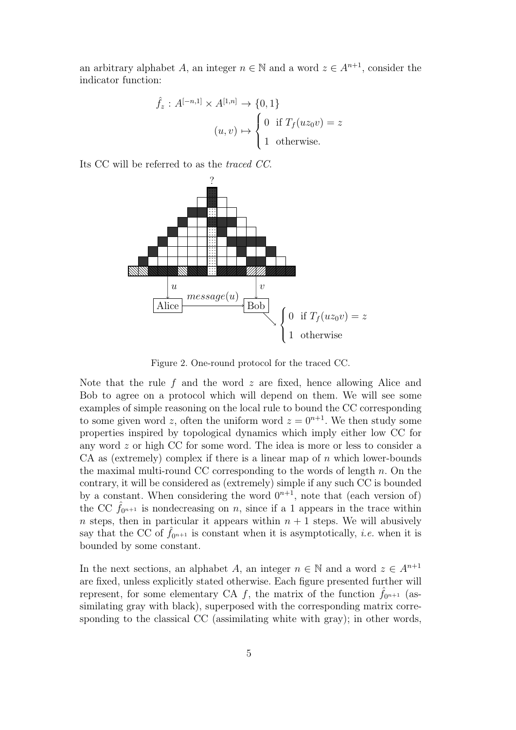an arbitrary alphabet A, an integer  $n \in \mathbb{N}$  and a word  $z \in A^{n+1}$ , consider the indicator function:

$$
\hat{f}_z : A^{[-n,1]} \times A^{[1,n]} \to \{0,1\}
$$

$$
(u,v) \mapsto \begin{cases} 0 & \text{if } T_f(uz_0v) = z \\ 1 & \text{otherwise.} \end{cases}
$$

Its CC will be referred to as the *traced CC*.



Figure 2. One-round protocol for the traced CC.

Note that the rule f and the word  $z$  are fixed, hence allowing Alice and Bob to agree on a protocol which will depend on them. We will see some examples of simple reasoning on the local rule to bound the CC corresponding to some given word z, often the uniform word  $z = 0^{n+1}$ . We then study some properties inspired by topological dynamics which imply either low CC for any word z or high CC for some word. The idea is more or less to consider a CA as (extremely) complex if there is a linear map of  $n$  which lower-bounds the maximal multi-round CC corresponding to the words of length  $n$ . On the contrary, it will be considered as (extremely) simple if any such CC is bounded by a constant. When considering the word  $0^{n+1}$ , note that (each version of) the CC  $\hat{f}_{0^{n+1}}$  is nondecreasing on n, since if a 1 appears in the trace within n steps, then in particular it appears within  $n + 1$  steps. We will abusively say that the CC of  $f_{0^{n+1}}$  is constant when it is asymptotically, *i.e.* when it is bounded by some constant.

In the next sections, an alphabet A, an integer  $n \in \mathbb{N}$  and a word  $z \in A^{n+1}$ are fixed, unless explicitly stated otherwise. Each figure presented further will represent, for some elementary CA f, the matrix of the function  $\hat{f}_{0^{n+1}}$  (assimilating gray with black), superposed with the corresponding matrix corresponding to the classical CC (assimilating white with gray); in other words,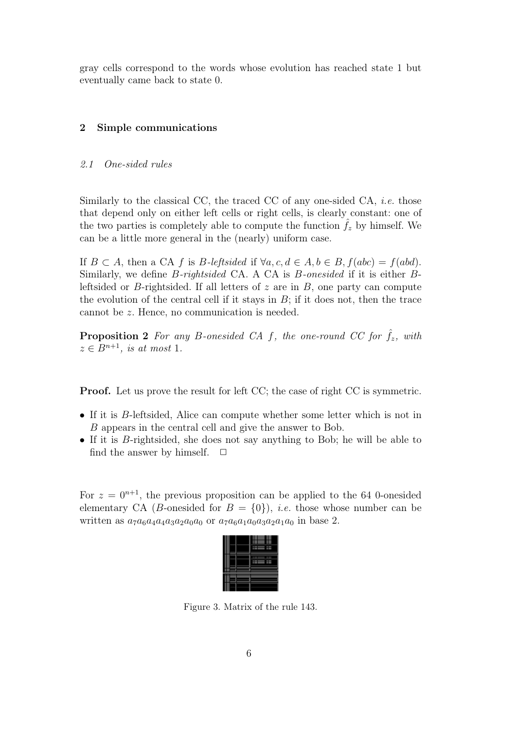gray cells correspond to the words whose evolution has reached state 1 but eventually came back to state 0.

## 2 Simple communications

#### *2.1 One-sided rules*

Similarly to the classical CC, the traced CC of any one-sided CA, *i.e.* those that depend only on either left cells or right cells, is clearly constant: one of the two parties is completely able to compute the function  $f<sub>z</sub>$  by himself. We can be a little more general in the (nearly) uniform case.

If  $B \subset A$ , then a CA f is B-leftsided if  $\forall a, c, d \in A, b \in B$ ,  $f(abc) = f(abd)$ . Similarly, we define B*-rightsided* CA. A CA is B*-onesided* if it is either Bleftsided or B-rightsided. If all letters of  $z$  are in  $B$ , one party can compute the evolution of the central cell if it stays in  $B$ ; if it does not, then the trace cannot be z. Hence, no communication is needed.

**Proposition 2** For any B-onesided CA f, the one-round CC for  $f_z$ , with  $z \in B^{n+1}$ *, is at most* 1*.* 

**Proof.** Let us prove the result for left CC; the case of right CC is symmetric.

- If it is B-leftsided, Alice can compute whether some letter which is not in B appears in the central cell and give the answer to Bob.
- If it is *B*-rightsided, she does not say anything to Bob; he will be able to find the answer by himself.  $\square$ find the answer by himself.

For  $z = 0^{n+1}$ , the previous proposition can be applied to the 64 0-onesided elementary CA (*B*-onesided for  $B = \{0\}$ ), *i.e.* those whose number can be written as  $a_7a_6a_4a_4a_3a_2a_0a_0$  or  $a_7a_6a_1a_0a_3a_2a_1a_0$  in base 2.

Figure 3. Matrix of the rule 143.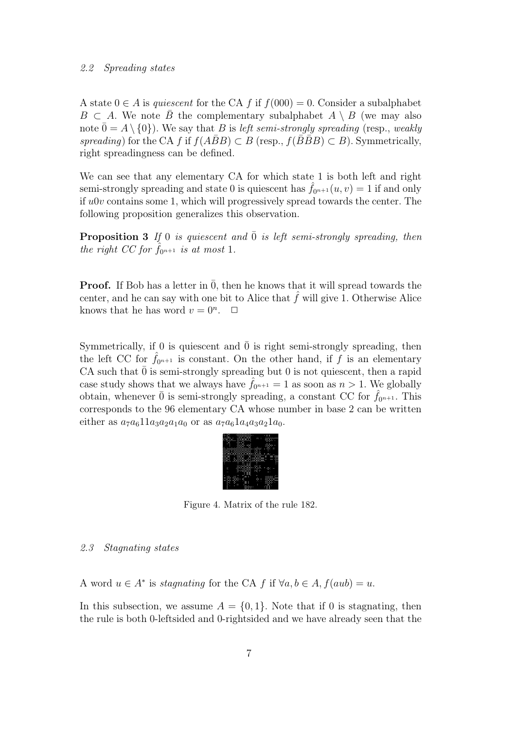#### *2.2 Spreading states*

A state  $0 \in A$  is *quiescent* for the CA f if  $f(000) = 0$ . Consider a subalphabet  $B \subset A$ . We note B the complementary subalphabet  $A \setminus B$  (we may also note  $\bar{0} = A \setminus \{0\}$ ). We say that B is *left semi-strongly spreading* (resp., *weakly spreading*) for the CA f if  $f(ABB) \subset B$  (resp.,  $f(B\overline{B}B) \subset B$ ). Symmetrically, right spreadingness can be defined.

We can see that any elementary CA for which state 1 is both left and right semi-strongly spreading and state 0 is quiescent has  $f_{0n+1}(u, v) = 1$  if and only if  $u0v$  contains some 1, which will progressively spread towards the center. The following proposition generalizes this observation.

**Proposition 3** If 0 *is quiescent and*  $\overline{0}$  *is left semi-strongly spreading, then the right CC for*  $f_{0^{n+1}}$  *is at most* 1.

**Proof.** If Bob has a letter in  $\overline{0}$ , then he knows that it will spread towards the center, and he can say with one bit to Alice that  $\hat{f}$  will give 1. Otherwise Alice knows that he has word  $v = 0^n$ .  $\Box$ 

Symmetrically, if 0 is quiescent and  $\overline{0}$  is right semi-strongly spreading, then the left CC for  $f_{0^{n+1}}$  is constant. On the other hand, if f is an elementary CA such that  $\overline{0}$  is semi-strongly spreading but 0 is not quiescent, then a rapid case study shows that we always have  $\hat{f}_{0^{n+1}} = 1$  as soon as  $n > 1$ . We globally obtain, whenever  $\overline{0}$  is semi-strongly spreading, a constant CC for  $f_{0^{n+1}}$ . This corresponds to the 96 elementary CA whose number in base 2 can be written either as  $a_7a_611a_3a_2a_1a_0$  or as  $a_7a_61a_4a_3a_21a_0$ .



Figure 4. Matrix of the rule 182.

#### *2.3 Stagnating states*

A word  $u \in A^*$  is *stagnating* for the CA f if  $\forall a, b \in A$ ,  $f(aub) = u$ .

In this subsection, we assume  $A = \{0, 1\}$ . Note that if 0 is stagnating, then the rule is both 0-leftsided and 0-rightsided and we have already seen that the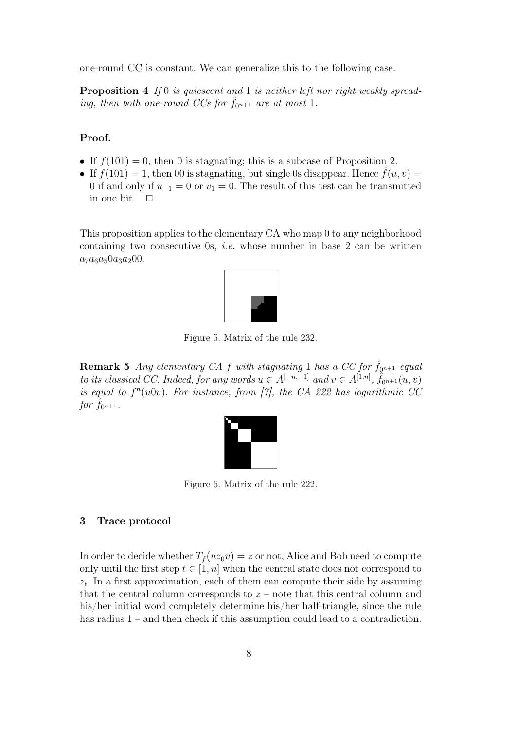one-round CC is constant. We can generalize this to the following case.

Proposition 4 *If* 0 *is quiescent and* 1 *is neither left nor right weakly spreading, then both one-round CCs for*  $f_{0^{n+1}}$  *are at most* 1.

## Proof.

- If  $f(101) = 0$ , then 0 is stagnating; this is a subcase of Proposition 2.
- If  $f(101) = 1$ , then 00 is stagnating, but single 0s disappear. Hence  $f(u, v) =$ 0 if and only if  $u_{-1} = 0$  or  $v_1 = 0$ . The result of this test can be transmitted in one bit.  $\Box$

This proposition applies to the elementary CA who map 0 to any neighborhood containing two consecutive 0s, *i.e.* whose number in base 2 can be written  $a_7a_6a_50a_3a_200.$ 



Figure 5. Matrix of the rule 232.

**Remark 5** *Any elementary CA f with stagnating* 1 *has a CC for*  $\hat{f}_{0^{n+1}}$  *equal to its classical CC. Indeed, for any words*  $u \in A^{[-n,-1]}$  *and*  $v \in A^{[1,n]}$ ,  $\hat{f}_{0^{n+1}}(u, v)$ *is equal to*  $f^n(u0v)$ *. For instance, from [7], the CA 222 has logarithmic CC for*  $f_{0^{n+1}}$ *.* 



Figure 6. Matrix of the rule 222.

## 3 Trace protocol

In order to decide whether  $T_f(uz_0v) = z$  or not, Alice and Bob need to compute only until the first step  $t \in [1, n]$  when the central state does not correspond to  $z_t$ . In a first approximation, each of them can compute their side by assuming that the central column corresponds to  $z$  – note that this central column and his/her initial word completely determine his/her half-triangle, since the rule has radius  $1$  – and then check if this assumption could lead to a contradiction.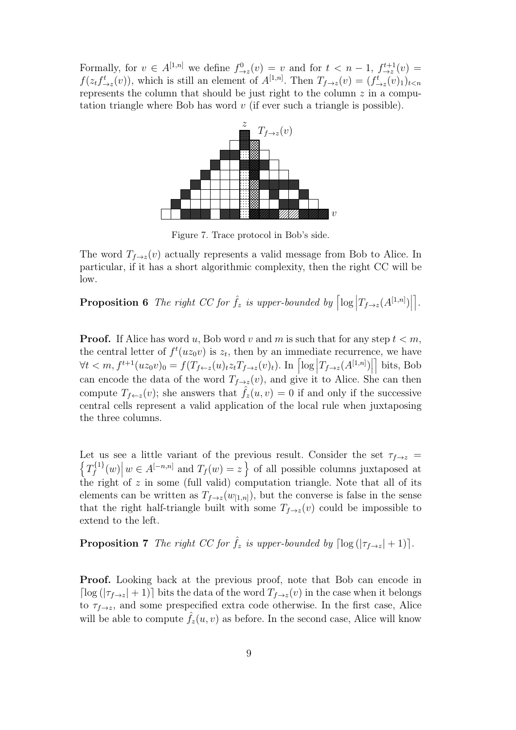Formally, for  $v \in A^{[1,n]}$  we define  $f_{\to z}^0(v) = v$  and for  $t < n - 1$ ,  $f_{\to z}^{t+1}(v) =$  $f(z_t f_{\to z}^t(v))$ , which is still an element of  $A^{[1,n]}$ . Then  $T_{f\to z}(v)=(f_{\to z}^t(v)_1)_{t\leq n}$ represents the column that should be just right to the column  $z$  in a computation triangle where Bob has word  $v$  (if ever such a triangle is possible).



Figure 7. Trace protocol in Bob's side.

The word  $T_{f\rightarrow z}(v)$  actually represents a valid message from Bob to Alice. In particular, if it has a short algorithmic complexity, then the right CC will be low.

**Proposition 6** The right CC for  $\hat{f}_z$  is upper-bounded by  $\left| \log \left| T_{f \to z}(A^{[1,n]}) \right| \right|$ \* *.*

**Proof.** If Alice has word u, Bob word v and m is such that for any step  $t < m$ , the central letter of  $f^t(uz_0v)$  is  $z_t$ , then by an immediate recurrence, we have  $\forall t < m, f^{t+1}(uz_0v)_0 = f(T_{f \leftarrow z}(u)_t z_t T_{f \rightarrow z}(v)_t)$ . In  $\left[ \log \left| T_{f \rightarrow z}(A^{[1,n]}) \right| \right]$ | bits, Bob can encode the data of the word  $T_{f\rightarrow z}(v)$ , and give it to Alice. She can then compute  $T_{f \leftarrow z}(v)$ ; she answers that  $\hat{f}_z(u, v) = 0$  if and only if the successive central cells represent a valid application of the local rule when juxtaposing the three columns.

Let us see a little variant of the previous result. Consider the set  $\tau_{f\rightarrow z}$  =  $T_f^{\{1\}}(w) \mid w \in A^{[-n,n]}$  and  $T_f(w) = z$  of all possible columns juxtaposed at the right of  $z$  in some (full valid) computation triangle. Note that all of its elements can be written as  $T_{f\rightarrow z}(w_{[1,n]})$ , but the converse is false in the sense that the right half-triangle built with some  $T_{f\rightarrow z}(v)$  could be impossible to extend to the left.

**Proposition 7** *The right CC for*  $\hat{f}_z$  *is upper-bounded by*  $\lceil \log(|\tau_{f\rightarrow z}|+1) \rceil$ *.* 

Proof. Looking back at the previous proof, note that Bob can encode in  $\lceil \log(|\tau_{f\to z}| + 1) \rceil$  bits the data of the word  $T_{f\to z}(v)$  in the case when it belongs to  $\tau_{f\rightarrow z}$ , and some prespecified extra code otherwise. In the first case, Alice will be able to compute  $\hat{f}_z(u, v)$  as before. In the second case, Alice will know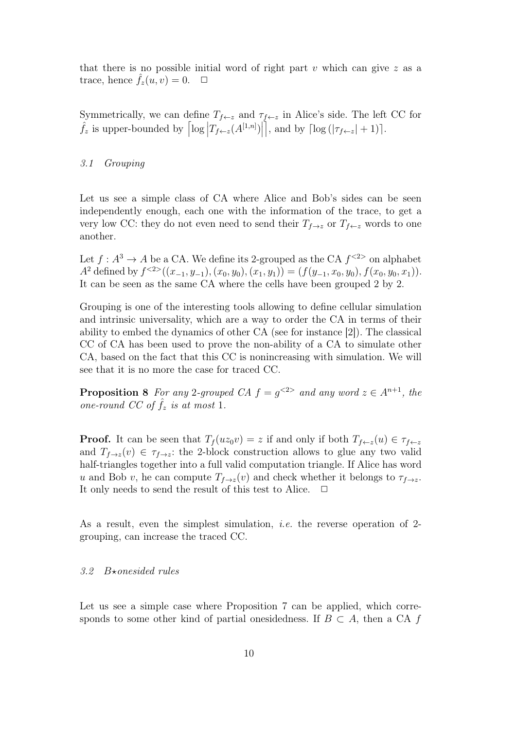that there is no possible initial word of right part v which can give  $z$  as a trace, hence  $\hat{f}_z(u, v)=0$ .  $\Box$ 

Symmetrically, we can define  $T_{f \leftarrow z}$  and  $\tau_{f \leftarrow z}$  in Alice's side. The left CC for  $\hat{f}_z$  is upper-bounded by  $\left| \log \left| T_{f \leftarrow z}(A^{[1,n]}) \right| \right|$  $\left[ \right]$ , and by  $\left[ \log \left( \left| \tau_{f \leftarrow z} \right| + 1 \right) \right]$ .

#### *3.1 Grouping*

Let us see a simple class of CA where Alice and Bob's sides can be seen independently enough, each one with the information of the trace, to get a very low CC: they do not even need to send their  $T_{f\rightarrow z}$  or  $T_{f\leftarrow z}$  words to one another.

Let  $f: A^3 \to A$  be a CA. We define its 2-grouped as the CA  $f^{<2>}$  on alphabet A<sup>2</sup> defined by  $f^{<2>}((x_{-1}, y_{-1}), (x_0, y_0), (x_1, y_1)) = (f(y_{-1}, x_0, y_0), f(x_0, y_0, x_1)).$ It can be seen as the same CA where the cells have been grouped 2 by 2.

Grouping is one of the interesting tools allowing to define cellular simulation and intrinsic universality, which are a way to order the CA in terms of their ability to embed the dynamics of other CA (see for instance [2]). The classical CC of CA has been used to prove the non-ability of a CA to simulate other CA, based on the fact that this CC is nonincreasing with simulation. We will see that it is no more the case for traced CC.

**Proposition 8** *For any* 2*-grouped CA*  $f = g^{2>}$  *and any word*  $z \in A^{n+1}$ *, the one-round CC of*  $\hat{f}_z$  *is at most* 1.

**Proof.** It can be seen that  $T_f(uz_0v) = z$  if and only if both  $T_{f \leftarrow z}(u) \in \tau_{f \leftarrow z}$ and  $T_{f\rightarrow z}(v) \in \tau_{f\rightarrow z}$ : the 2-block construction allows to glue any two valid half-triangles together into a full valid computation triangle. If Alice has word u and Bob v, he can compute  $T_{f\rightarrow z}(v)$  and check whether it belongs to  $\tau_{f\rightarrow z}$ . It only needs to send the result of this test to Alice.  $\Box$ 

As a result, even the simplest simulation, *i.e.* the reverse operation of 2 grouping, can increase the traced CC.

#### 3.2 B\*onesided rules

Let us see a simple case where Proposition 7 can be applied, which corresponds to some other kind of partial onesidedness. If  $B \subset A$ , then a CA f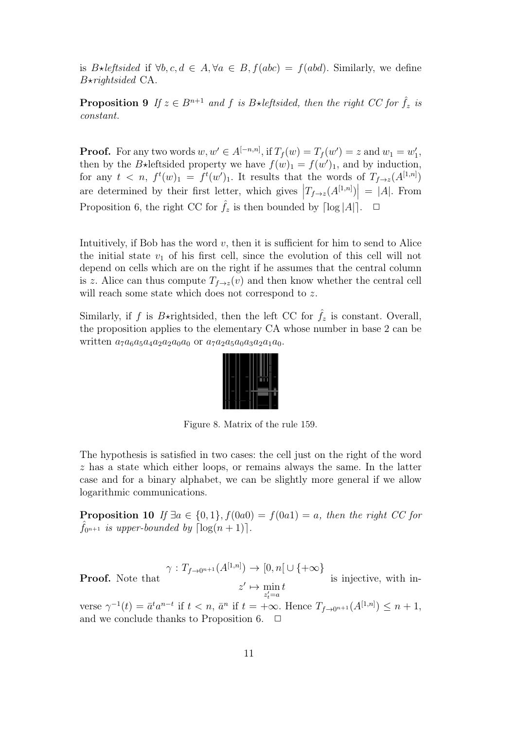is B $\star$ *leftsided* if  $\forall b, c, d \in A, \forall a \in B, f(abc) = f(abd)$ . Similarly, we define B!*rightsided* CA.

**Proposition 9** If  $z \in B^{n+1}$  and f is B\*leftsided, then the right CC for  $\hat{f}_z$  is *constant.*

**Proof.** For any two words  $w, w' \in A^{[-n,n]}$ , if  $T_f(w) = T_f(w') = z$  and  $w_1 = w'_1$ , then by the B\*leftsided property we have  $f(w)_1 = f(w')_1$ , and by induction, for any  $t < n$ ,  $f^t(w)_1 = f^t(w')_1$ . It results that the words of  $T_{f\rightarrow z}(A^{[1,n]})$ are determined by their first letter, which gives  $\left|T_{f\rightarrow z}(A^{[1,n]})\right| = |A|$ . From Proposition 6, the right CC for  $\hat{f}_z$  is then bounded by  $\lceil \log |A| \rceil$ .  $\Box$ 

Intuitively, if Bob has the word  $v$ , then it is sufficient for him to send to Alice the initial state  $v_1$  of his first cell, since the evolution of this cell will not depend on cells which are on the right if he assumes that the central column is z. Alice can thus compute  $T_{f\rightarrow z}(v)$  and then know whether the central cell will reach some state which does not correspond to z.

Similarly, if f is B\*rightsided, then the left CC for  $\hat{f}_z$  is constant. Overall, the proposition applies to the elementary CA whose number in base 2 can be written  $a_7a_6a_5a_4a_2a_2a_0a_0$  or  $a_7a_2a_5a_0a_3a_2a_1a_0$ .

|  | I |
|--|---|
|  |   |
|  |   |

Figure 8. Matrix of the rule 159.

The hypothesis is satisfied in two cases: the cell just on the right of the word z has a state which either loops, or remains always the same. In the latter case and for a binary alphabet, we can be slightly more general if we allow logarithmic communications.

**Proposition 10** *If*  $\exists a \in \{0, 1\}$ ,  $f(0a0) = f(0a1) = a$ , then the right CC for  $\hat{f}_{0n+1}$  is upper-bounded by  $\lceil \log(n+1) \rceil$ .

**Proof.** Note that 
$$
\gamma: T_{f\to 0^{n+1}}(A^{[1,n]}) \to [0,n] \cup \{+\infty\}
$$
 is injective, with in-

verse  $\gamma^{-1}(t) = \bar{a}^t a^{n-t}$  if  $t < n$ ,  $\bar{a}^n$  if  $t = +\infty$ . Hence  $T_{f \to 0^{n+1}}(A^{[1,n]}) \leq n+1$ , and we conclude thanks to Proposition 6.  $\Box$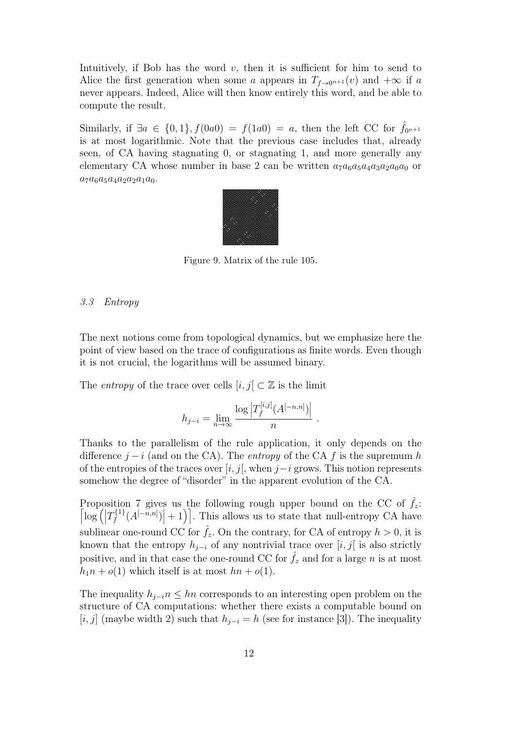Intuitively, if Bob has the word  $v$ , then it is sufficient for him to send to Alice the first generation when some a appears in  $T_{f\rightarrow 0^{n+1}}(v)$  and  $+\infty$  if a never appears. Indeed, Alice will then know entirely this word, and be able to compute the result.

Similarly, if  $\exists a \in \{0,1\}, f(0a0) = f(1a0) = a$ , then the left CC for  $\hat{f}_{0n+1}$ is at most logarithmic. Note that the previous case includes that, already seen, of CA having stagnating 0, or stagnating 1, and more generally any elementary CA whose number in base 2 can be written  $a_7a_6a_5a_4a_3a_2a_0a_0$  or  $a_7a_6a_5a_4a_2a_2a_1a_0.$ 



Figure 9. Matrix of the rule 105.

## *3.3 Entropy*

The next notions come from topological dynamics, but we emphasize here the point of view based on the trace of configurations as finite words. Even though it is not crucial, the logarithms will be assumed binary.

The *entropy* of the trace over cells  $[i, j] \subset \mathbb{Z}$  is the limit

$$
h_{j-i} = \lim_{n \to \infty} \frac{\log \left| T_f^{[i,j]}(A^{[-n,n]}) \right|}{n} .
$$

Thanks to the parallelism of the rule application, it only depends on the difference  $j - i$  (and on the CA). The *entropy* of the CA f is the supremum h of the entropies of the traces over  $[i, j]$ , when  $j-i$  grows. This notion represents somehow the degree of "disorder" in the apparent evolution of the CA.

Proposition 7 gives us the following rough upper bound on the CC of  $f_z$ .  $\left[ \log \left( \left| T_f^{\{1\}}(A^{[-n,n]}) \right| + 1 \right) \right]$ . This allows us to state that null-entropy CA have sublinear one-round CC for  $\hat{f}_z$ . On the contrary, for CA of entropy  $h > 0$ , it is known that the entropy  $h_{i-i}$  of any nontrivial trace over [i, j] is also strictly positive, and in that case the one-round CC for  $f_z$  and for a large n is at most  $h_1n + o(1)$  which itself is at most  $hn + o(1)$ .

The inequality  $h_{i-i}$ <sup>n</sup> ≤ hn corresponds to an interesting open problem on the structure of CA computations: whether there exists a computable bound on  $[i, j]$  (maybe width 2) such that  $h_{j-i} = h$  (see for instance [3]). The inequality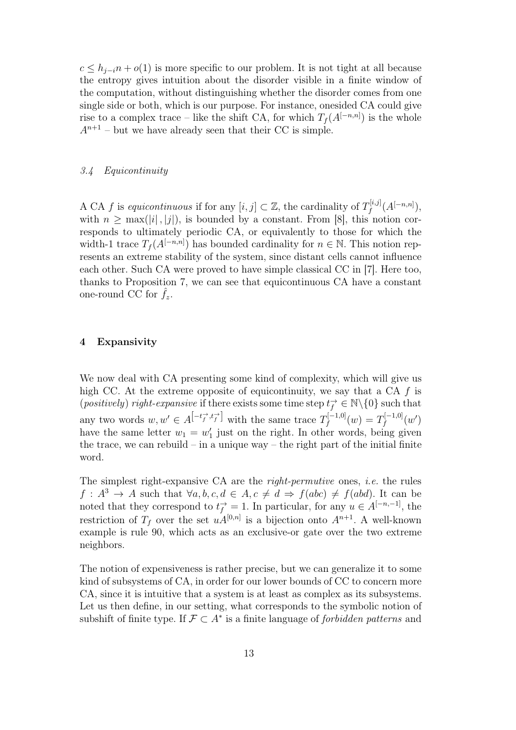$c \leq h_{j-i}n + o(1)$  is more specific to our problem. It is not tight at all because the entropy gives intuition about the disorder visible in a finite window of the computation, without distinguishing whether the disorder comes from one single side or both, which is our purpose. For instance, onesided CA could give rise to a complex trace – like the shift CA, for which  $T_f(A^{[-n,n]})$  is the whole  $A^{n+1}$  – but we have already seen that their CC is simple.

## *3.4 Equicontinuity*

A CA f is *equicontinuous* if for any  $[i, j] \subset \mathbb{Z}$ , the cardinality of  $T_f^{[i,j]}(A^{[-n,n]}),$ with  $n \geq \max(|i|, |j|)$ , is bounded by a constant. From [8], this notion corresponds to ultimately periodic CA, or equivalently to those for which the width-1 trace  $T_f(A^{[-n,n]})$  has bounded cardinality for  $n \in \mathbb{N}$ . This notion represents an extreme stability of the system, since distant cells cannot influence each other. Such CA were proved to have simple classical CC in [7]. Here too, thanks to Proposition 7, we can see that equicontinuous CA have a constant one-round CC for  $f_z$ .

#### 4 Expansivity

We now deal with CA presenting some kind of complexity, which will give us high CC. At the extreme opposite of equicontinuity, we say that a CA  $f$  is (*positively*) *right-expansive* if there exists some time step  $t_f^{\rightarrow} \in \mathbb{N} \setminus \{0\}$  such that any two words  $w, w' \in A^{[-t_f^{\to}, t_f^{\to}]}$  with the same trace  $T_f^{[-1,0]}(w) = T_f^{[-1,0]}(w')$ have the same letter  $w_1 = w'_1$  just on the right. In other words, being given the trace, we can rebuild – in a unique way – the right part of the initial finite word.

The simplest right-expansive CA are the *right-permutive* ones, *i.e.* the rules  $f: A^3 \to A$  such that  $\forall a, b, c, d \in A, c \neq d \Rightarrow f(abc) \neq f(abd)$ . It can be noted that they correspond to  $t_f^{\rightarrow} = 1$ . In particular, for any  $u \in A^{[-n,-1]}$ , the restriction of  $T_f$  over the set  $u\hat{A}^{[0,n]}$  is a bijection onto  $A^{n+1}$ . A well-known example is rule 90, which acts as an exclusive-or gate over the two extreme neighbors.

The notion of expensiveness is rather precise, but we can generalize it to some kind of subsystems of CA, in order for our lower bounds of CC to concern more CA, since it is intuitive that a system is at least as complex as its subsystems. Let us then define, in our setting, what corresponds to the symbolic notion of subshift of finite type. If  $\mathcal{F} \subset A^*$  is a finite language of *forbidden patterns* and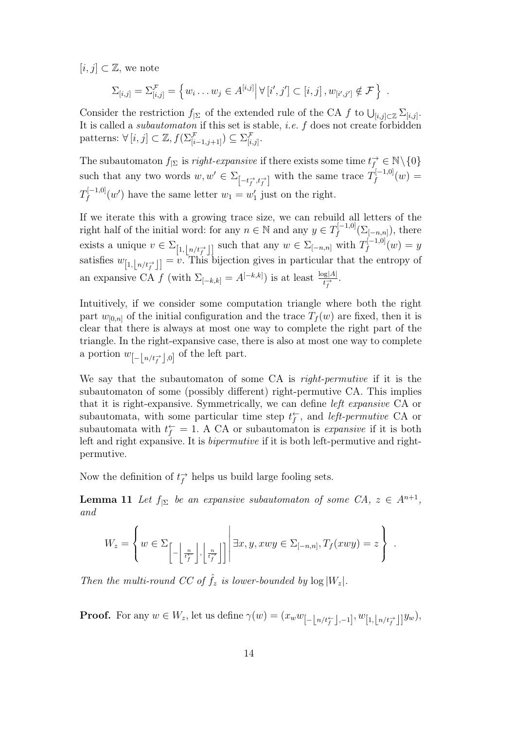$[i, j] \subset \mathbb{Z}$ , we note

$$
\Sigma_{[i,j]} = \Sigma_{[i,j]}^{\mathcal{F}} = \left\{ w_i \dots w_j \in A^{[i,j]} \middle| \forall [i',j'] \subset [i,j], w_{[i',j']} \notin \mathcal{F} \right\} .
$$

Consider the restriction  $f_{|\Sigma}$  of the extended rule of the CA f to  $\bigcup_{[i,j]\subset\mathbb{Z}}\sum_{[i,j]}$ . It is called a *subautomaton* if this set is stable, *i.e.* f does not create forbidden patterns:  $\forall [i, j] \subset \mathbb{Z}, f(\sum_{[i-1,j+1]}^{j} ) \subseteq \sum_{[i,j]}^{j}$ .

The subautomaton  $f_{\mid \Sigma}$  is *right-expansive* if there exists some time  $t_f^{\rightarrow} \in \mathbb{N} \setminus \{0\}$ such that any two words  $w, w' \in \Sigma_{\left[-t_f^{\rightarrow}, t_f^{\rightarrow}\right]}$  with the same trace  $T_f^{\left[-1,0\right]}(w) =$  $T_f^{[-1,0]}(w')$  have the same letter  $w_1 = w'_1$  just on the right.

If we iterate this with a growing trace size, we can rebuild all letters of the right half of the initial word: for any  $n \in \mathbb{N}$  and any  $y \in T_f^{[-1,0]}(\Sigma_{[-n,n]})$ , there exists a unique  $v \in \Sigma_{\left[1,\left\lfloor n/t_{f}^{+}\right\rfloor\right]}$  such that any  $w \in \Sigma_{\left[-n,n\right]}$  with  $T_{f}^{\left[-1,0\right]}(w) = y$ satisfies  $w_{[1,\lfloor n/t_f^{\rightarrow}\rfloor]} = v$ . This bijection gives in particular that the entropy of an expansive CA f (with  $\Sigma_{[-k,k]} = A^{[-k,k]}$ ) is at least  $\frac{\log|A|}{t_f^2}$ .

Intuitively, if we consider some computation triangle where both the right part  $w_{[0,n]}$  of the initial configuration and the trace  $T_f(w)$  are fixed, then it is clear that there is always at most one way to complete the right part of the triangle. In the right-expansive case, there is also at most one way to complete a portion  $w_{\left[-\left\lfloor n/t_f^{\rightarrow}\right\rfloor,0\right]}$  of the left part.

We say that the subautomaton of some CA is *right-permutive* if it is the subautomaton of some (possibly different) right-permutive CA. This implies that it is right-expansive. Symmetrically, we can define *left expansive* CA or subautomata, with some particular time step  $t_f^{\leftarrow}$ , and *left-permutive* CA or subautomata with  $t_f^{\leftarrow} = 1$ . A CA or subautomaton is *expansive* if it is both left and right expansive. It is *bipermutive* if it is both left-permutive and rightpermutive.

Now the definition of  $t_f^{\rightarrow}$  helps us build large fooling sets.

**Lemma 11** Let  $f_{\mid \Sigma}$  be an expansive subautomaton of some CA,  $z \in A^{n+1}$ , *and*

$$
W_z = \left\{ w \in \Sigma_{\left[-\left\lfloor \frac{n}{t_f^*} \right\rfloor, \left\lfloor \frac{n}{t_f^*} \right\rfloor\right]} \middle| \exists x, y, xwy \in \Sigma_{[-n,n]}, T_f(xwy) = z \right\}.
$$

*Then the multi-round CC of*  $\hat{f}_z$  *is lower-bounded by*  $\log |W_z|$ *.* 

**Proof.** For any  $w \in W_z$ , let us define  $\gamma(w) = (x_w w_{\left[-\left\lfloor n/t_f^{\leftarrow}\right\rfloor, -1\right]}, w_{\left[1,\left\lfloor n/t_f^{\rightarrow}\right\rfloor\right]} y_w)$ ,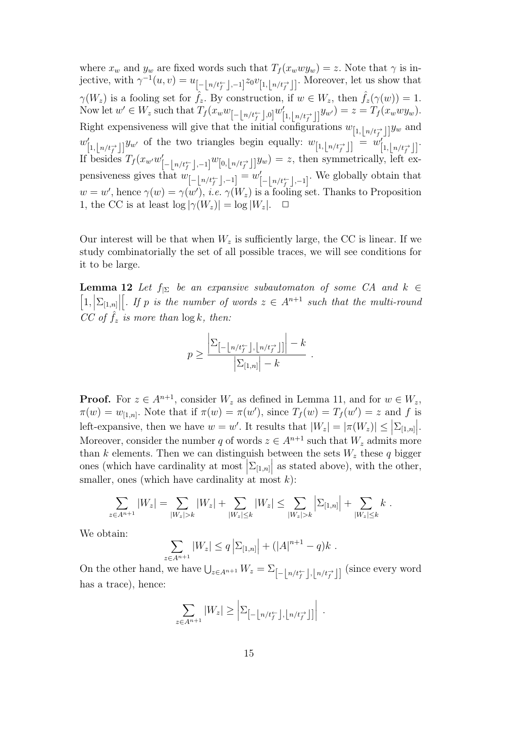where  $x_w$  and  $y_w$  are fixed words such that  $T_f(x_w w y_w) = z$ . Note that  $\gamma$  is injective, with  $\gamma^{-1}(u, v) = u_{\left[\frac{1}{2}\right]n/t_f^{\leftarrow}}$ ,  $\left[\frac{1}{2}n/t_f^{\rightarrow}}\right]$ . Moreover, let us show that  $\gamma(W_z)$  is a fooling set for  $\hat{f}_z$ . By construction, if  $w \in W_z$ , then  $\hat{f}_z(\gamma(w)) = 1$ . Now let  $w' \in W_z$  such that  $T_f(x_w w_{[-\lfloor n/t_f^{\leftarrow} \rfloor,0]} w'_{[1,\lfloor n/t_f^{\rightarrow} \rfloor]} y_{w'}) = z = T_f(x_w w y_w)$ . Right expensiveness will give that the initial configurations  $w_{[1, \lfloor n/t_f^{\rightarrow} \rfloor]} y_w$  and  $w'_{[1,\lfloor n/t_f^{\rightarrow}\rfloor]} y_{w'}$  of the two triangles begin equally:  $w_{[1,\lfloor n/t_f^{\rightarrow}\rfloor]} = w'_{[1,\lfloor n/t_f^{\rightarrow}\rfloor]}.$ If besides  $T_f(x_{w'}w'_{[-\lfloor n/t_f^{\leftarrow} \rfloor, -1]}w_{[0,\lfloor n/t_f^{\rightarrow} \rfloor]}y_w) = z$ , then symmetrically, left expensiveness gives that  $w_{\begin{bmatrix} -\lfloor n/t^{\leftarrow}_f \rfloor, -1 \end{bmatrix}} = w'_{\begin{bmatrix} -\lfloor n/t^{\leftarrow}_f \rfloor, -1 \end{bmatrix}}$ . We globally obtain that  $w = w'$ , hence  $\gamma(w) = \gamma(w')$ , *i.e.*  $\gamma(W_z)$  is a fooling set. Thanks to Proposition 1, the CC is at least  $\log |\gamma(W_z)| = \log |W_z|$ .  $\Box$ 

Our interest will be that when  $W_z$  is sufficiently large, the CC is linear. If we study combinatorially the set of all possible traces, we will see conditions for it to be large.

**Lemma 12** *Let*  $f_{\mid \Sigma}$  *be an expansive subautomaton of some CA and*  $k \in$  $\left[1,\left|\Sigma_{[1,n]}\right|\right]$ *[. If* p *is the number of words*  $z \in A^{n+1}$  *such that the multi-round CC* of  $\hat{f}_z$  *is more than*  $\log k$ *, then:* 

$$
p \ge \frac{\left| \sum_{\left[ -\left\lfloor n/t_f^{\leftarrow} \right\rfloor, \left\lfloor n/t_f^{\rightarrow} \right\rfloor \right]}\right| - k}{\left| \sum_{[1,n]} \right| - k}.
$$

**Proof.** For  $z \in A^{n+1}$ , consider  $W_z$  as defined in Lemma 11, and for  $w \in W_z$ ,  $\pi(w) = w_{[1,n]}.$  Note that if  $\pi(w) = \pi(w')$ , since  $T_f(w) = T_f(w') = z$  and f is left-expansive, then we have  $w = w'$ . It results that  $|W_z| = |\pi(W_z)| \leq |\Sigma_{[1,n]}|$ . Moreover, consider the number q of words  $z \in A^{n+1}$  such that  $W_z$  admits more than k elements. Then we can distinguish between the sets  $W_z$  these q bigger ones (which have cardinality at most  $\sum_{[1,n]}$  as stated above), with the other, smaller, ones (which have cardinality at most  $k$ ):

$$
\sum_{z \in A^{n+1}} |W_z| = \sum_{|W_z| > k} |W_z| + \sum_{|W_z| \le k} |W_z| \le \sum_{|W_z| > k} \left| \Sigma_{[1,n]} \right| + \sum_{|W_z| \le k} k.
$$

We obtain:

$$
\sum_{z \in A^{n+1}} |W_z| \le q \left| \sum_{[1,n]} \right| + (|A|^{n+1} - q)k.
$$

On the other hand, we have  $\bigcup_{z \in A^{n+1}} W_z = \sum_{\begin{bmatrix} -\lfloor n/t_f^{\leftarrow} \rfloor, \lfloor n/t_f^{\rightarrow} \rfloor \end{bmatrix}}$  (since every word has a trace), hence:

$$
\sum_{z \in A^{n+1}} |W_z| \ge \left| \sum_{\left[-\left\lfloor n/t_f^{\leftarrow}\right\rfloor, \left\lfloor n/t_f^{\rightarrow}\right\rfloor\right]} \right| \; .
$$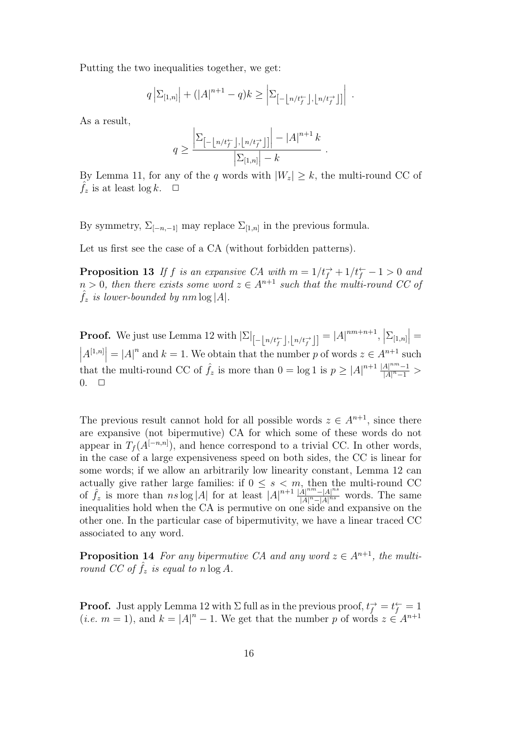Putting the two inequalities together, we get:

$$
q\left|\Sigma_{[1,n]}\right| + (|A|^{n+1} - q)k \ge \left|\Sigma_{\left[-\left\lfloor n/t_f^{\leftarrow}\right\rfloor,\left\lfloor n/t_f^{\rightarrow}\right\rfloor\right]}\right| \; .
$$

As a result,

$$
q \ge \frac{\left| \Sigma_{\left[ -\left\lfloor n/t_{f}^{\leftarrow}\right\rfloor,\left\lfloor n/t_{f}^{\rightarrow}\right\rfloor\right]}\right| -\left| A\right|^{n+1}k}{\left| \Sigma_{\left[ 1,n\right]}\right| -k}.
$$

By Lemma 11, for any of the q words with  $|W_z| \geq k$ , the multi-round CC of  $\hat{f}_z$  is at least log k.  $\Box$ 

By symmetry,  $\Sigma_{[-n,-1]}$  may replace  $\Sigma_{[1,n]}$  in the previous formula.

Let us first see the case of a CA (without forbidden patterns).

**Proposition 13** If f is an expansive CA with  $m = 1/t_f^+ + 1/t_f^- - 1 > 0$  and  $n > 0$ , then there exists some word  $z \in A^{n+1}$  such that the multi-round CC of  $\hat{f}_z$  is lower-bounded by  $nm \log |A|$ .

**Proof.** We just use Lemma 12 with  $|\Sigma|_{[-\lfloor n/t_f^{\leftarrow} \rfloor, \lfloor n/t_f^{\leftarrow} \rfloor]} = |A|^{nm+n+1}, \left| \Sigma_{[1,n]} \right| =$ <br>  $|A^{[1,n]}| = |A|^n$  and  $k = 1$ . We obtain that the number  $n$  of words  $x \in A^{n+1}$  such  $|A^{[1,n]}| = |A|^n$  and  $k = 1$ . We obtain that the number p of words  $z \in A^{n+1}$  such that the multi-round CC of  $\hat{f}_z$  is more than  $0 = \log 1$  is  $p \geq |A|^{n+1} \frac{|A|^{nm}-1}{|A|^n-1}$  $\frac{|A|}{|A|^n-1}$  >  $0. \square$ 

The previous result cannot hold for all possible words  $z \in A^{n+1}$ , since there are expansive (not bipermutive) CA for which some of these words do not appear in  $T_f(A^{[-n,n]})$ , and hence correspond to a trivial CC. In other words, in the case of a large expensiveness speed on both sides, the CC is linear for some words; if we allow an arbitrarily low linearity constant, Lemma 12 can actually give rather large families: if  $0 \leq s \leq m$ , then the multi-round CC of  $\hat{f}_z$  is more than  $ns \log |A|$  for at least  $|A|^{n+1} \frac{|\hat{A}|^{nm}-|A|^{ns}}{|A|^n-|A|^{ns}}$  $\frac{|A| - |A|}{|A|^n - |A|^{ns}}$  words. The same inequalities hold when the CA is permutive on one side and expansive on the other one. In the particular case of bipermutivity, we have a linear traced CC associated to any word.

**Proposition 14** For any bipermutive CA and any word  $z \in A^{n+1}$ , the multi*round CC of*  $\hat{f}_z$  *is equal to*  $n \log A$ *.* 

**Proof.** Just apply Lemma 12 with  $\Sigma$  full as in the previous proof,  $t_f^{\rightarrow} = t_f^{\leftarrow} = 1$ (*i.e.*  $m = 1$ ), and  $k = |A|^n - 1$ . We get that the number p of words  $z \in A^{n+1}$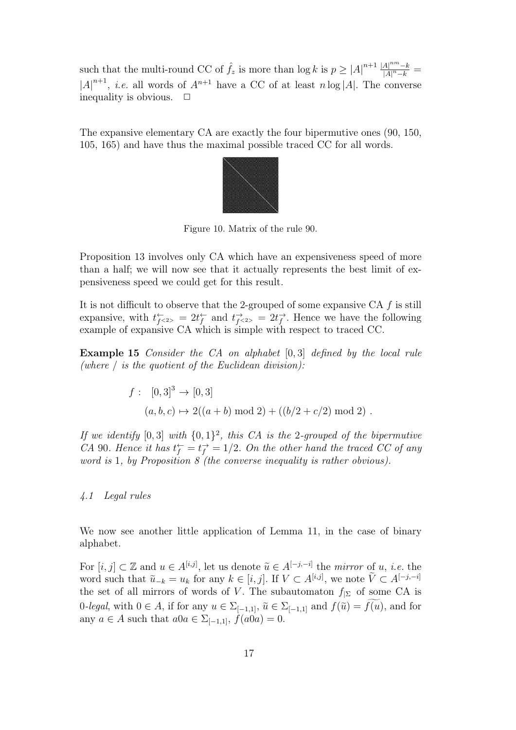such that the multi-round CC of  $\hat{f}_z$  is more than  $\log k$  is  $p \geq |A|^{n+1} \frac{|A|^{nm}-k}{|A|^n-k}$  $\frac{|A|^{n}-k}{|A|^{n}-k} =$  $|A|^{n+1}$ , *i.e.* all words of  $A^{n+1}$  have a CC of at least n log |A|. The converse inequality is obvious.  $\Box$ 

The expansive elementary CA are exactly the four bipermutive ones (90, 150, 105, 165) and have thus the maximal possible traced CC for all words.



Figure 10. Matrix of the rule 90.

Proposition 13 involves only CA which have an expensiveness speed of more than a half; we will now see that it actually represents the best limit of expensiveness speed we could get for this result.

It is not difficult to observe that the 2-grouped of some expansive  $CA f$  is still expansive, with  $t_{f<2>}^{\leftarrow} = 2t_f^{\leftarrow}$  and  $t_{f<2>}^{\rightarrow} = 2t_f^{\rightarrow}$ . Hence we have the following example of expansive CA which is simple with respect to traced CC.

Example 15 *Consider the CA on alphabet* [0, 3] *defined by the local rule (where* / *is the quotient of the Euclidean division):*

$$
f: [0,3]^3 \to [0,3]
$$
  
(a, b, c)  $\mapsto 2((a + b) \mod 2) + ((b/2 + c/2) \mod 2)$ .

*If we identify* [0,3] *with*  $\{0, 1\}^2$ *, this CA is the* 2*-grouped of the bipermutive CA* 90*. Hence it has*  $t_f^{\leftarrow} = t_f^{\rightarrow} = 1/2$ *. On the other hand the traced CC of any word is* 1*, by Proposition 8 (the converse inequality is rather obvious).*

#### *4.1 Legal rules*

We now see another little application of Lemma 11, in the case of binary alphabet.

For  $[i, j] \subset \mathbb{Z}$  and  $u \in A^{[i,j]}$ , let us denote  $\tilde{u} \in A^{[-j,-i]}$  the *mirror* of u, *i.e.* the word such that  $\tilde{u}_{-k} = u_k$  for any  $k \in [i, j]$ . If  $V \subset A^{[i,j]}$ , we note  $\tilde{V} \subset A^{[-j,-i]}$ the set of all mirrors of words of V. The subautomaton  $f_{\vert\Sigma}$  of some CA is 0*-legal*, with  $0 \in A$ , if for any  $u \in \Sigma_{[-1,1]}, \tilde{u} \in \Sigma_{[-1,1]}$  and  $f(\tilde{u}) = f(u)$ , and for any  $a \in A$  such that  $a0a \in \Sigma_{[-1,1]}, f(a0a) = 0.$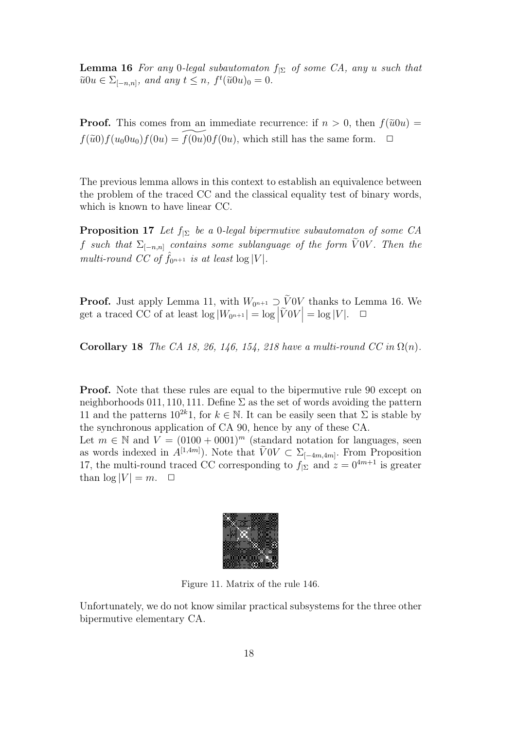**Lemma 16** *For any* 0*-legal subautomaton*  $f_{\mid \Sigma}$  *of some CA, any* u *such that*  $\tilde{u}0u \in \Sigma_{[-n,n]}, \text{ and any } t \leq n, \ f^t(\tilde{u}0u)_0 = 0.$ 

**Proof.** This comes from an immediate recurrence: if  $n > 0$ , then  $f(\tilde{u}0u) =$  $f(\tilde{u}0) f(u_0 0u_0) f(0u) = f(0u) 0 f(0u)$ , which still has the same form.  $\Box$ 

The previous lemma allows in this context to establish an equivalence between the problem of the traced CC and the classical equality test of binary words, which is known to have linear CC.

Proposition 17 *Let* f|<sup>Σ</sup> *be a* 0*-legal bipermutive subautomaton of some CA*  $f$  *such that*  $\Sigma_{[-n,n]}$  *contains some sublanguage of the form VOV. Then the multi-round CC of*  $\hat{f}_{0^{n+1}}$  *is at least* log |V|.

**Proof.** Just apply Lemma 11, with  $W_{0^{n+1}} \supseteq V0V$  thanks to Lemma 16. We get a traced CC of at least  $\log |W_{0^{n+1}}| = \log |\tilde{V}0V| = \log |V|$ .  $\Box$ 

**Corollary 18** *The CA 18, 26, 146, 154, 218 have a multi-round CC in*  $\Omega(n)$ *.* 

Proof. Note that these rules are equal to the bipermutive rule 90 except on neighborhoods 011, 110, 111. Define  $\Sigma$  as the set of words avoiding the pattern 11 and the patterns  $10^{2k}$ 1, for  $k \in \mathbb{N}$ . It can be easily seen that  $\Sigma$  is stable by the synchronous application of CA 90, hence by any of these CA.

Let  $m \in \mathbb{N}$  and  $V = (0100 + 0001)^m$  (standard notation for languages, seen as words indexed in  $A^{[1,4m]}$ ). Note that  $\widehat{V}0V \subset \Sigma_{[-4m,4m]}$ . From Proposition 17, the multi-round traced CC corresponding to  $f_{\mid \Sigma}$  and  $z = 0^{4m+1}$  is greater than  $\log |V| = m$ .  $\Box$ 



Figure 11. Matrix of the rule 146.

Unfortunately, we do not know similar practical subsystems for the three other bipermutive elementary CA.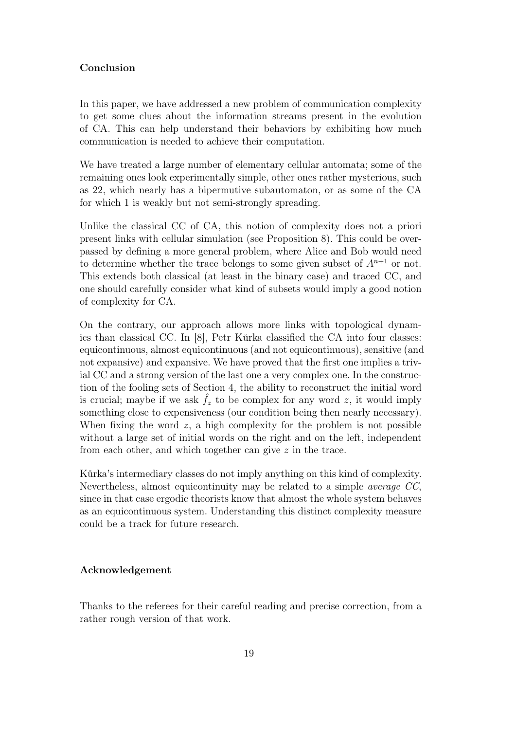## Conclusion

In this paper, we have addressed a new problem of communication complexity to get some clues about the information streams present in the evolution of CA. This can help understand their behaviors by exhibiting how much communication is needed to achieve their computation.

We have treated a large number of elementary cellular automata; some of the remaining ones look experimentally simple, other ones rather mysterious, such as 22, which nearly has a bipermutive subautomaton, or as some of the CA for which 1 is weakly but not semi-strongly spreading.

Unlike the classical CC of CA, this notion of complexity does not a priori present links with cellular simulation (see Proposition 8). This could be overpassed by defining a more general problem, where Alice and Bob would need to determine whether the trace belongs to some given subset of  $A^{n+1}$  or not. This extends both classical (at least in the binary case) and traced CC, and one should carefully consider what kind of subsets would imply a good notion of complexity for CA.

On the contrary, our approach allows more links with topological dynamics than classical CC. In [8], Petr Kůrka classified the CA into four classes: equicontinuous, almost equicontinuous (and not equicontinuous), sensitive (and not expansive) and expansive. We have proved that the first one implies a trivial CC and a strong version of the last one a very complex one. In the construction of the fooling sets of Section 4, the ability to reconstruct the initial word is crucial; maybe if we ask  $f_z$  to be complex for any word z, it would imply something close to expensiveness (our condition being then nearly necessary). When fixing the word  $z$ , a high complexity for the problem is not possible without a large set of initial words on the right and on the left, independent from each other, and which together can give z in the trace.

Kůrka's intermediary classes do not imply anything on this kind of complexity. Nevertheless, almost equicontinuity may be related to a simple *average CC*, since in that case ergodic theorists know that almost the whole system behaves as an equicontinuous system. Understanding this distinct complexity measure could be a track for future research.

## Acknowledgement

Thanks to the referees for their careful reading and precise correction, from a rather rough version of that work.